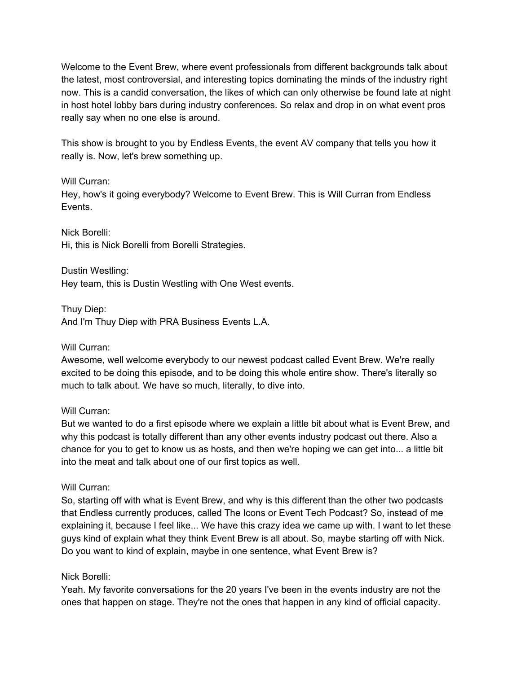Welcome to the Event Brew, where event professionals from different backgrounds talk about the latest, most controversial, and interesting topics dominating the minds of the industry right now. This is a candid conversation, the likes of which can only otherwise be found late at night in host hotel lobby bars during industry conferences. So relax and drop in on what event pros really say when no one else is around.

This show is brought to you by Endless Events, the event AV company that tells you how it really is. Now, let's brew something up.

## Will Curran:

Hey, how's it going everybody? Welcome to Event Brew. This is Will Curran from Endless Events.

Nick Borelli: Hi, this is Nick Borelli from Borelli Strategies.

Dustin Westling: Hey team, this is Dustin Westling with One West events.

Thuy Diep:

And I'm Thuy Diep with PRA Business Events L.A.

Will Curran:

Awesome, well welcome everybody to our newest podcast called Event Brew. We're really excited to be doing this episode, and to be doing this whole entire show. There's literally so much to talk about. We have so much, literally, to dive into.

#### Will Curran:

But we wanted to do a first episode where we explain a little bit about what is Event Brew, and why this podcast is totally different than any other events industry podcast out there. Also a chance for you to get to know us as hosts, and then we're hoping we can get into... a little bit into the meat and talk about one of our first topics as well.

#### Will Curran:

So, starting off with what is Event Brew, and why is this different than the other two podcasts that Endless currently produces, called The Icons or Event Tech Podcast? So, instead of me explaining it, because I feel like... We have this crazy idea we came up with. I want to let these guys kind of explain what they think Event Brew is all about. So, maybe starting off with Nick. Do you want to kind of explain, maybe in one sentence, what Event Brew is?

## Nick Borelli:

Yeah. My favorite conversations for the 20 years I've been in the events industry are not the ones that happen on stage. They're not the ones that happen in any kind of official capacity.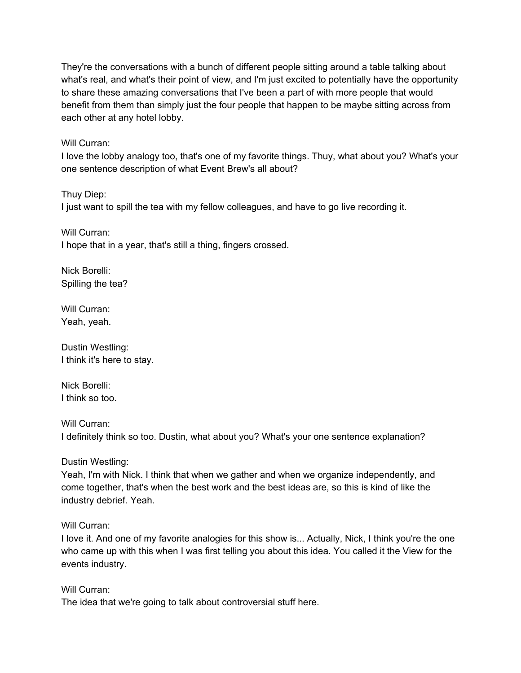They're the conversations with a bunch of different people sitting around a table talking about what's real, and what's their point of view, and I'm just excited to potentially have the opportunity to share these amazing conversations that I've been a part of with more people that would benefit from them than simply just the four people that happen to be maybe sitting across from each other at any hotel lobby.

Will Curran:

I love the lobby analogy too, that's one of my favorite things. Thuy, what about you? What's your one sentence description of what Event Brew's all about?

Thuy Diep: I just want to spill the tea with my fellow colleagues, and have to go live recording it.

Will Curran: I hope that in a year, that's still a thing, fingers crossed.

Nick Borelli: Spilling the tea?

Will Curran: Yeah, yeah.

Dustin Westling: I think it's here to stay.

Nick Borelli: I think so too.

Will Curran: I definitely think so too. Dustin, what about you? What's your one sentence explanation?

Dustin Westling:

Yeah, I'm with Nick. I think that when we gather and when we organize independently, and come together, that's when the best work and the best ideas are, so this is kind of like the industry debrief. Yeah.

Will Curran:

I love it. And one of my favorite analogies for this show is... Actually, Nick, I think you're the one who came up with this when I was first telling you about this idea. You called it the View for the events industry.

Will Curran:

The idea that we're going to talk about controversial stuff here.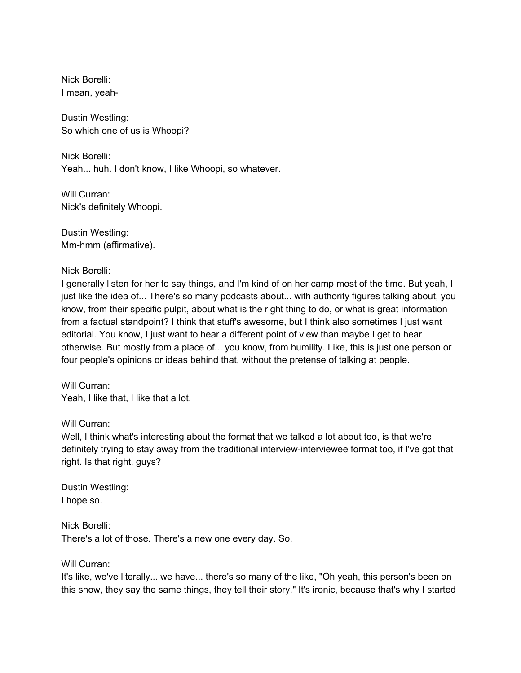Nick Borelli: I mean, yeah-

Dustin Westling: So which one of us is Whoopi?

Nick Borelli: Yeah... huh. I don't know, I like Whoopi, so whatever.

Will Curran: Nick's definitely Whoopi.

Dustin Westling: Mm-hmm (affirmative).

Nick Borelli:

I generally listen for her to say things, and I'm kind of on her camp most of the time. But yeah, I just like the idea of... There's so many podcasts about... with authority figures talking about, you know, from their specific pulpit, about what is the right thing to do, or what is great information from a factual standpoint? I think that stuff's awesome, but I think also sometimes I just want editorial. You know, I just want to hear a different point of view than maybe I get to hear otherwise. But mostly from a place of... you know, from humility. Like, this is just one person or four people's opinions or ideas behind that, without the pretense of talking at people.

Will Curran: Yeah, I like that, I like that a lot.

Will Curran:

Well, I think what's interesting about the format that we talked a lot about too, is that we're definitely trying to stay away from the traditional interview-interviewee format too, if I've got that right. Is that right, guys?

Dustin Westling: I hope so.

Nick Borelli: There's a lot of those. There's a new one every day. So.

Will Curran:

It's like, we've literally... we have... there's so many of the like, "Oh yeah, this person's been on this show, they say the same things, they tell their story." It's ironic, because that's why I started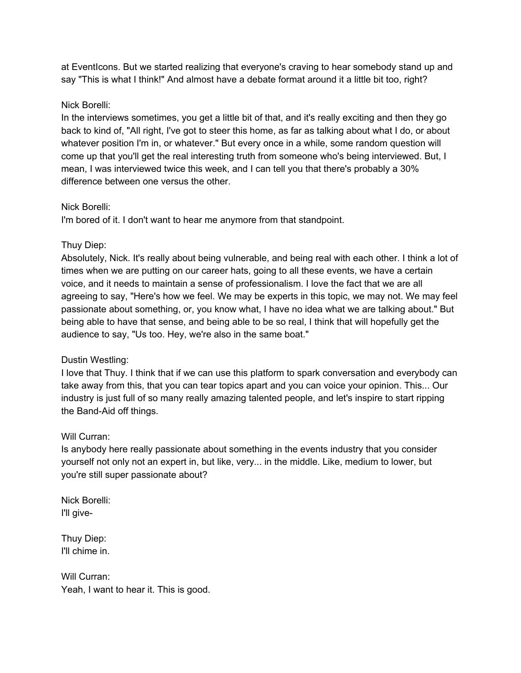at EventIcons. But we started realizing that everyone's craving to hear somebody stand up and say "This is what I think!" And almost have a debate format around it a little bit too, right?

## Nick Borelli:

In the interviews sometimes, you get a little bit of that, and it's really exciting and then they go back to kind of, "All right, I've got to steer this home, as far as talking about what I do, or about whatever position I'm in, or whatever." But every once in a while, some random question will come up that you'll get the real interesting truth from someone who's being interviewed. But, I mean, I was interviewed twice this week, and I can tell you that there's probably a 30% difference between one versus the other.

## Nick Borelli:

I'm bored of it. I don't want to hear me anymore from that standpoint.

## Thuy Diep:

Absolutely, Nick. It's really about being vulnerable, and being real with each other. I think a lot of times when we are putting on our career hats, going to all these events, we have a certain voice, and it needs to maintain a sense of professionalism. I love the fact that we are all agreeing to say, "Here's how we feel. We may be experts in this topic, we may not. We may feel passionate about something, or, you know what, I have no idea what we are talking about." But being able to have that sense, and being able to be so real, I think that will hopefully get the audience to say, "Us too. Hey, we're also in the same boat."

## Dustin Westling:

I love that Thuy. I think that if we can use this platform to spark conversation and everybody can take away from this, that you can tear topics apart and you can voice your opinion. This... Our industry is just full of so many really amazing talented people, and let's inspire to start ripping the Band-Aid off things.

#### Will Curran:

Is anybody here really passionate about something in the events industry that you consider yourself not only not an expert in, but like, very... in the middle. Like, medium to lower, but you're still super passionate about?

Nick Borelli: I'll give-

Thuy Diep: I'll chime in.

Will Curran: Yeah, I want to hear it. This is good.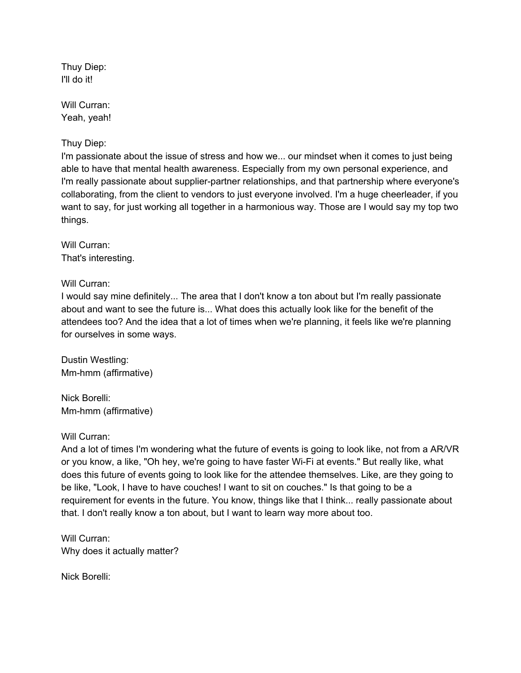Thuy Diep: I'll do it!

Will Curran: Yeah, yeah!

# Thuy Diep:

I'm passionate about the issue of stress and how we... our mindset when it comes to just being able to have that mental health awareness. Especially from my own personal experience, and I'm really passionate about supplier-partner relationships, and that partnership where everyone's collaborating, from the client to vendors to just everyone involved. I'm a huge cheerleader, if you want to say, for just working all together in a harmonious way. Those are I would say my top two things.

Will Curran: That's interesting.

Will Curran:

I would say mine definitely... The area that I don't know a ton about but I'm really passionate about and want to see the future is... What does this actually look like for the benefit of the attendees too? And the idea that a lot of times when we're planning, it feels like we're planning for ourselves in some ways.

Dustin Westling: Mm-hmm (affirmative)

Nick Borelli: Mm-hmm (affirmative)

## Will Curran:

And a lot of times I'm wondering what the future of events is going to look like, not from a AR/VR or you know, a like, "Oh hey, we're going to have faster Wi-Fi at events." But really like, what does this future of events going to look like for the attendee themselves. Like, are they going to be like, "Look, I have to have couches! I want to sit on couches." Is that going to be a requirement for events in the future. You know, things like that I think... really passionate about that. I don't really know a ton about, but I want to learn way more about too.

Will Curran: Why does it actually matter?

Nick Borelli: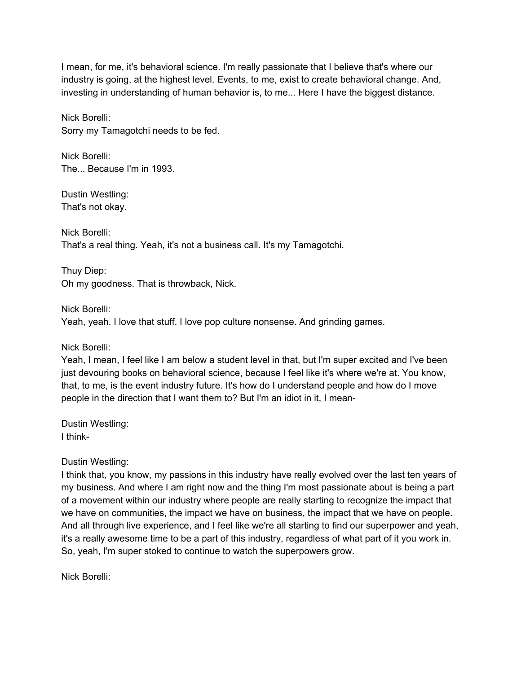I mean, for me, it's behavioral science. I'm really passionate that I believe that's where our industry is going, at the highest level. Events, to me, exist to create behavioral change. And, investing in understanding of human behavior is, to me... Here I have the biggest distance.

Nick Borelli: Sorry my Tamagotchi needs to be fed.

Nick Borelli: The... Because I'm in 1993.

Dustin Westling: That's not okay.

Nick Borelli: That's a real thing. Yeah, it's not a business call. It's my Tamagotchi.

Thuy Diep: Oh my goodness. That is throwback, Nick.

Nick Borelli:

Yeah, yeah. I love that stuff. I love pop culture nonsense. And grinding games.

Nick Borelli:

Yeah, I mean, I feel like I am below a student level in that, but I'm super excited and I've been just devouring books on behavioral science, because I feel like it's where we're at. You know, that, to me, is the event industry future. It's how do I understand people and how do I move people in the direction that I want them to? But I'm an idiot in it, I mean-

Dustin Westling: I think-

Dustin Westling:

I think that, you know, my passions in this industry have really evolved over the last ten years of my business. And where I am right now and the thing I'm most passionate about is being a part of a movement within our industry where people are really starting to recognize the impact that we have on communities, the impact we have on business, the impact that we have on people. And all through live experience, and I feel like we're all starting to find our superpower and yeah, it's a really awesome time to be a part of this industry, regardless of what part of it you work in. So, yeah, I'm super stoked to continue to watch the superpowers grow.

Nick Borelli: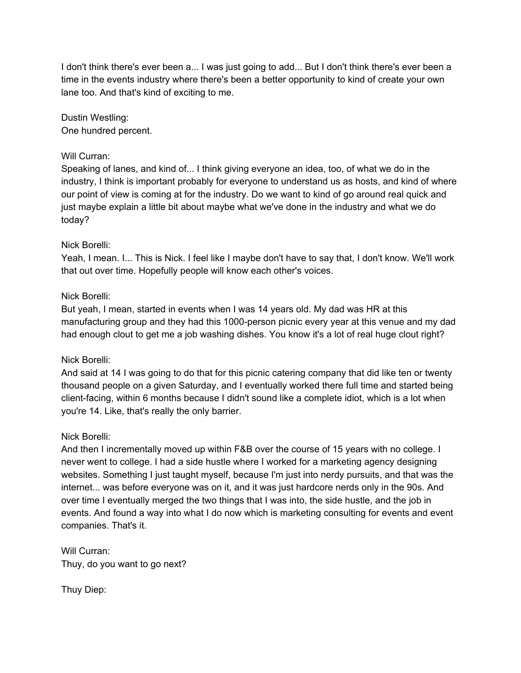I don't think there's ever been a... I was just going to add... But I don't think there's ever been a time in the events industry where there's been a better opportunity to kind of create your own lane too. And that's kind of exciting to me.

Dustin Westling: One hundred percent.

## Will Curran:

Speaking of lanes, and kind of... I think giving everyone an idea, too, of what we do in the industry, I think is important probably for everyone to understand us as hosts, and kind of where our point of view is coming at for the industry. Do we want to kind of go around real quick and just maybe explain a little bit about maybe what we've done in the industry and what we do today?

## Nick Borelli:

Yeah, I mean. I... This is Nick. I feel like I maybe don't have to say that, I don't know. We'll work that out over time. Hopefully people will know each other's voices.

## Nick Borelli:

But yeah, I mean, started in events when I was 14 years old. My dad was HR at this manufacturing group and they had this 1000-person picnic every year at this venue and my dad had enough clout to get me a job washing dishes. You know it's a lot of real huge clout right?

#### Nick Borelli:

And said at 14 I was going to do that for this picnic catering company that did like ten or twenty thousand people on a given Saturday, and I eventually worked there full time and started being client-facing, within 6 months because I didn't sound like a complete idiot, which is a lot when you're 14. Like, that's really the only barrier.

#### Nick Borelli:

And then I incrementally moved up within F&B over the course of 15 years with no college. I never went to college. I had a side hustle where I worked for a marketing agency designing websites. Something I just taught myself, because I'm just into nerdy pursuits, and that was the internet... was before everyone was on it, and it was just hardcore nerds only in the 90s. And over time I eventually merged the two things that I was into, the side hustle, and the job in events. And found a way into what I do now which is marketing consulting for events and event companies. That's it.

Will Curran: Thuy, do you want to go next?

Thuy Diep: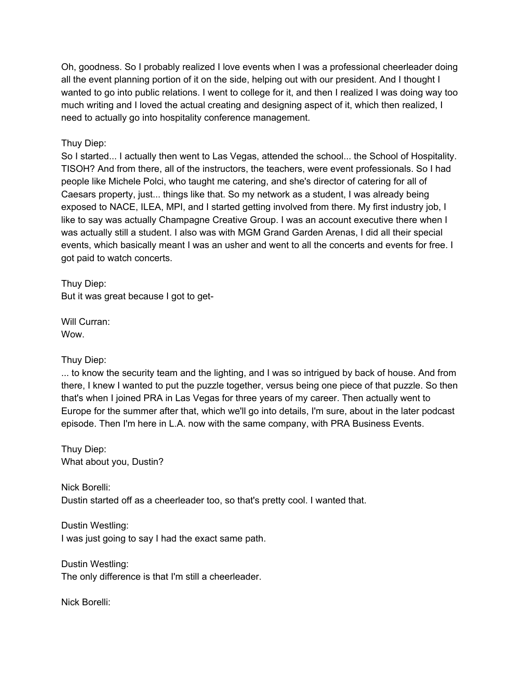Oh, goodness. So I probably realized I love events when I was a professional cheerleader doing all the event planning portion of it on the side, helping out with our president. And I thought I wanted to go into public relations. I went to college for it, and then I realized I was doing way too much writing and I loved the actual creating and designing aspect of it, which then realized, I need to actually go into hospitality conference management.

## Thuy Diep:

So I started... I actually then went to Las Vegas, attended the school... the School of Hospitality. TISOH? And from there, all of the instructors, the teachers, were event professionals. So I had people like Michele Polci, who taught me catering, and she's director of catering for all of Caesars property, just... things like that. So my network as a student, I was already being exposed to NACE, ILEA, MPI, and I started getting involved from there. My first industry job, I like to say was actually Champagne Creative Group. I was an account executive there when I was actually still a student. I also was with MGM Grand Garden Arenas, I did all their special events, which basically meant I was an usher and went to all the concerts and events for free. I got paid to watch concerts.

Thuy Diep: But it was great because I got to get-

Will Curran: Wow.

Thuy Diep:

... to know the security team and the lighting, and I was so intrigued by back of house. And from there, I knew I wanted to put the puzzle together, versus being one piece of that puzzle. So then that's when I joined PRA in Las Vegas for three years of my career. Then actually went to Europe for the summer after that, which we'll go into details, I'm sure, about in the later podcast episode. Then I'm here in L.A. now with the same company, with PRA Business Events.

Thuy Diep: What about you, Dustin?

Nick Borelli: Dustin started off as a cheerleader too, so that's pretty cool. I wanted that.

Dustin Westling: I was just going to say I had the exact same path.

Dustin Westling: The only difference is that I'm still a cheerleader.

Nick Borelli: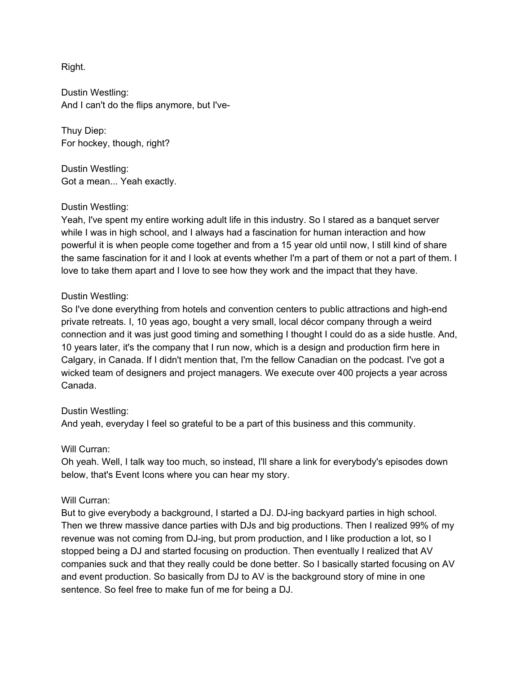Right.

Dustin Westling: And I can't do the flips anymore, but I've-

Thuy Diep: For hockey, though, right?

Dustin Westling: Got a mean... Yeah exactly.

## Dustin Westling:

Yeah, I've spent my entire working adult life in this industry. So I stared as a banquet server while I was in high school, and I always had a fascination for human interaction and how powerful it is when people come together and from a 15 year old until now, I still kind of share the same fascination for it and I look at events whether I'm a part of them or not a part of them. I love to take them apart and I love to see how they work and the impact that they have.

## Dustin Westling:

So I've done everything from hotels and convention centers to public attractions and high-end private retreats. I, 10 yeas ago, bought a very small, local décor company through a weird connection and it was just good timing and something I thought I could do as a side hustle. And, 10 years later, it's the company that I run now, which is a design and production firm here in Calgary, in Canada. If I didn't mention that, I'm the fellow Canadian on the podcast. I've got a wicked team of designers and project managers. We execute over 400 projects a year across Canada.

#### Dustin Westling:

And yeah, everyday I feel so grateful to be a part of this business and this community.

#### Will Curran:

Oh yeah. Well, I talk way too much, so instead, I'll share a link for everybody's episodes down below, that's Event Icons where you can hear my story.

#### Will Curran:

But to give everybody a background, I started a DJ. DJ-ing backyard parties in high school. Then we threw massive dance parties with DJs and big productions. Then I realized 99% of my revenue was not coming from DJ-ing, but prom production, and I like production a lot, so I stopped being a DJ and started focusing on production. Then eventually I realized that AV companies suck and that they really could be done better. So I basically started focusing on AV and event production. So basically from DJ to AV is the background story of mine in one sentence. So feel free to make fun of me for being a DJ.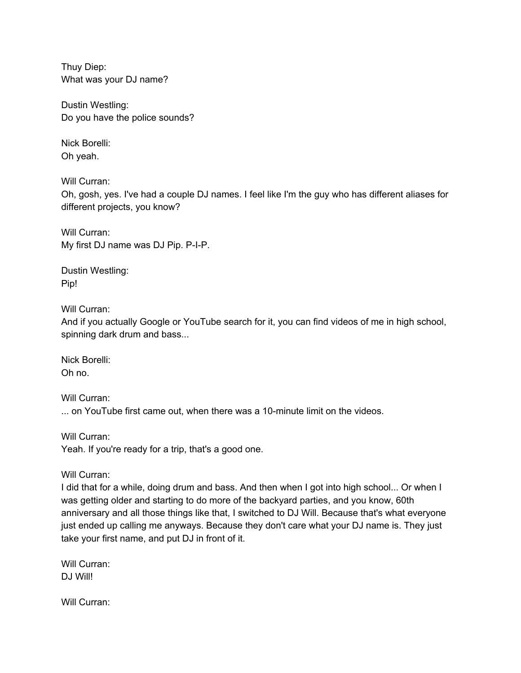Thuy Diep: What was your DJ name?

Dustin Westling: Do you have the police sounds?

Nick Borelli: Oh yeah.

Will Curran:

Oh, gosh, yes. I've had a couple DJ names. I feel like I'm the guy who has different aliases for different projects, you know?

Will Curran: My first DJ name was DJ Pip. P-I-P.

Dustin Westling: Pip!

Will Curran:

And if you actually Google or YouTube search for it, you can find videos of me in high school, spinning dark drum and bass...

Nick Borelli: Oh no.

Will Curran: ... on YouTube first came out, when there was a 10-minute limit on the videos.

Will Curran: Yeah. If you're ready for a trip, that's a good one.

Will Curran:

I did that for a while, doing drum and bass. And then when I got into high school... Or when I was getting older and starting to do more of the backyard parties, and you know, 60th anniversary and all those things like that, I switched to DJ Will. Because that's what everyone just ended up calling me anyways. Because they don't care what your DJ name is. They just take your first name, and put DJ in front of it.

Will Curran: DJ Will!

Will Curran: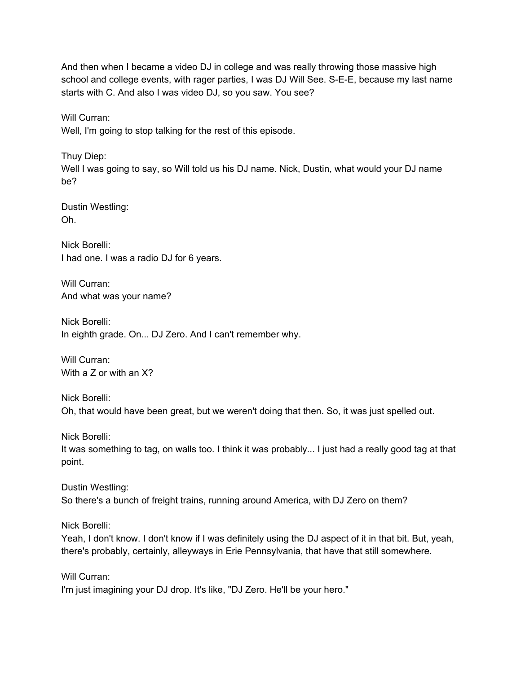And then when I became a video DJ in college and was really throwing those massive high school and college events, with rager parties, I was DJ Will See. S-E-E, because my last name starts with C. And also I was video DJ, so you saw. You see?

Will Curran:

Well, I'm going to stop talking for the rest of this episode.

Thuy Diep: Well I was going to say, so Will told us his DJ name. Nick, Dustin, what would your DJ name be?

Dustin Westling: Oh.

Nick Borelli: I had one. I was a radio DJ for 6 years.

Will Curran: And what was your name?

Nick Borelli: In eighth grade. On... DJ Zero. And I can't remember why.

Will Curran: With a Z or with an X?

Nick Borelli: Oh, that would have been great, but we weren't doing that then. So, it was just spelled out.

Nick Borelli: It was something to tag, on walls too. I think it was probably... I just had a really good tag at that point.

Dustin Westling: So there's a bunch of freight trains, running around America, with DJ Zero on them?

Nick Borelli:

Yeah, I don't know. I don't know if I was definitely using the DJ aspect of it in that bit. But, yeah, there's probably, certainly, alleyways in Erie Pennsylvania, that have that still somewhere.

Will Curran: I'm just imagining your DJ drop. It's like, "DJ Zero. He'll be your hero."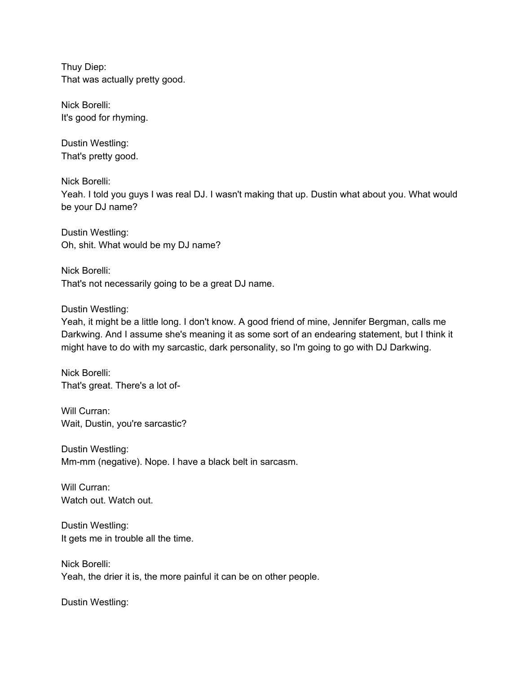Thuy Diep: That was actually pretty good.

Nick Borelli: It's good for rhyming.

Dustin Westling: That's pretty good.

Nick Borelli: Yeah. I told you guys I was real DJ. I wasn't making that up. Dustin what about you. What would be your DJ name?

Dustin Westling: Oh, shit. What would be my DJ name?

Nick Borelli: That's not necessarily going to be a great DJ name.

Dustin Westling:

Yeah, it might be a little long. I don't know. A good friend of mine, Jennifer Bergman, calls me Darkwing. And I assume she's meaning it as some sort of an endearing statement, but I think it might have to do with my sarcastic, dark personality, so I'm going to go with DJ Darkwing.

Nick Borelli: That's great. There's a lot of-

Will Curran: Wait, Dustin, you're sarcastic?

Dustin Westling: Mm-mm (negative). Nope. I have a black belt in sarcasm.

Will Curran: Watch out. Watch out.

Dustin Westling: It gets me in trouble all the time.

Nick Borelli: Yeah, the drier it is, the more painful it can be on other people.

Dustin Westling: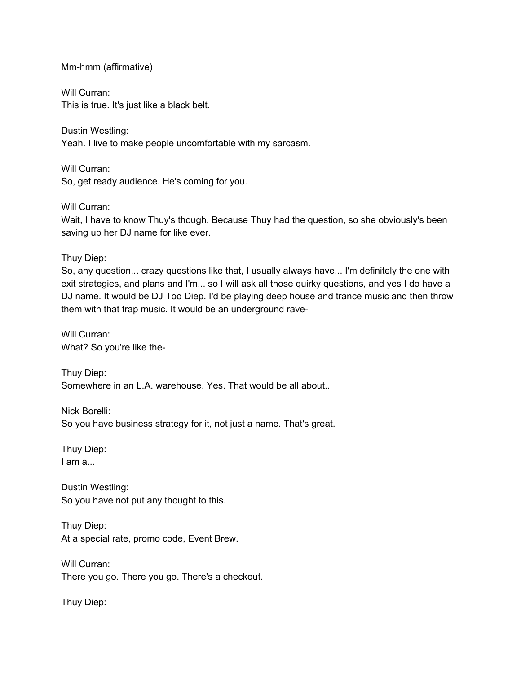#### Mm-hmm (affirmative)

Will Curran: This is true. It's just like a black belt.

Dustin Westling: Yeah. I live to make people uncomfortable with my sarcasm.

Will Curran: So, get ready audience. He's coming for you.

Will Curran: Wait, I have to know Thuy's though. Because Thuy had the question, so she obviously's been saving up her DJ name for like ever.

Thuy Diep:

So, any question... crazy questions like that, I usually always have... I'm definitely the one with exit strategies, and plans and I'm... so I will ask all those quirky questions, and yes I do have a DJ name. It would be DJ Too Diep. I'd be playing deep house and trance music and then throw them with that trap music. It would be an underground rave-

Will Curran: What? So you're like the-

Thuy Diep: Somewhere in an L.A. warehouse. Yes. That would be all about..

Nick Borelli: So you have business strategy for it, not just a name. That's great.

Thuy Diep: I am a...

Dustin Westling: So you have not put any thought to this.

Thuy Diep: At a special rate, promo code, Event Brew.

Will Curran: There you go. There you go. There's a checkout.

Thuy Diep: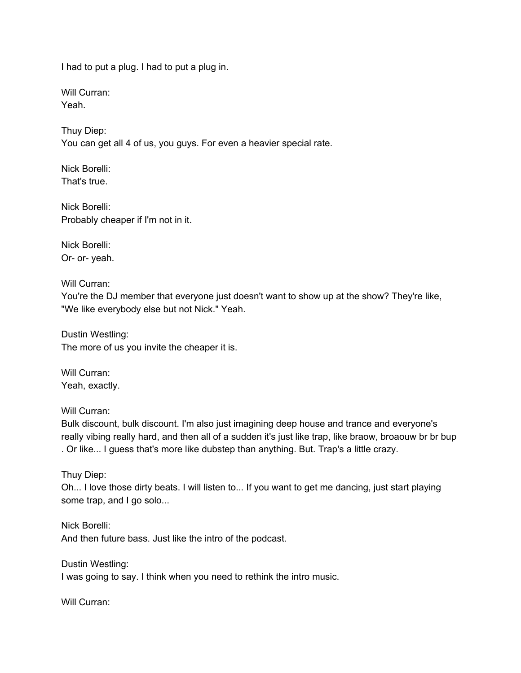I had to put a plug. I had to put a plug in.

Will Curran: Yeah.

Thuy Diep: You can get all 4 of us, you guys. For even a heavier special rate.

Nick Borelli: That's true.

Nick Borelli: Probably cheaper if I'm not in it.

Nick Borelli: Or- or- yeah.

Will Curran:

You're the DJ member that everyone just doesn't want to show up at the show? They're like, "We like everybody else but not Nick." Yeah.

Dustin Westling: The more of us you invite the cheaper it is.

Will Curran: Yeah, exactly.

Will Curran:

Bulk discount, bulk discount. I'm also just imagining deep house and trance and everyone's really vibing really hard, and then all of a sudden it's just like trap, like braow, broaouw br br bup . Or like... I guess that's more like dubstep than anything. But. Trap's a little crazy.

Thuy Diep:

Oh... I love those dirty beats. I will listen to... If you want to get me dancing, just start playing some trap, and I go solo...

Nick Borelli: And then future bass. Just like the intro of the podcast.

Dustin Westling: I was going to say. I think when you need to rethink the intro music.

Will Curran: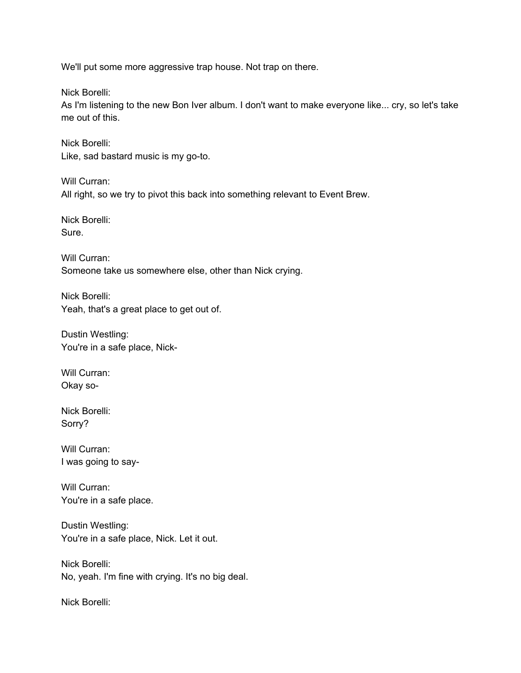We'll put some more aggressive trap house. Not trap on there.

Nick Borelli:

As I'm listening to the new Bon Iver album. I don't want to make everyone like... cry, so let's take me out of this.

Nick Borelli: Like, sad bastard music is my go-to.

Will Curran: All right, so we try to pivot this back into something relevant to Event Brew.

Nick Borelli: Sure.

Will Curran: Someone take us somewhere else, other than Nick crying.

Nick Borelli: Yeah, that's a great place to get out of.

Dustin Westling: You're in a safe place, Nick-

Will Curran: Okay so-

Nick Borelli: Sorry?

Will Curran: I was going to say-

Will Curran: You're in a safe place.

Dustin Westling: You're in a safe place, Nick. Let it out.

Nick Borelli: No, yeah. I'm fine with crying. It's no big deal.

Nick Borelli: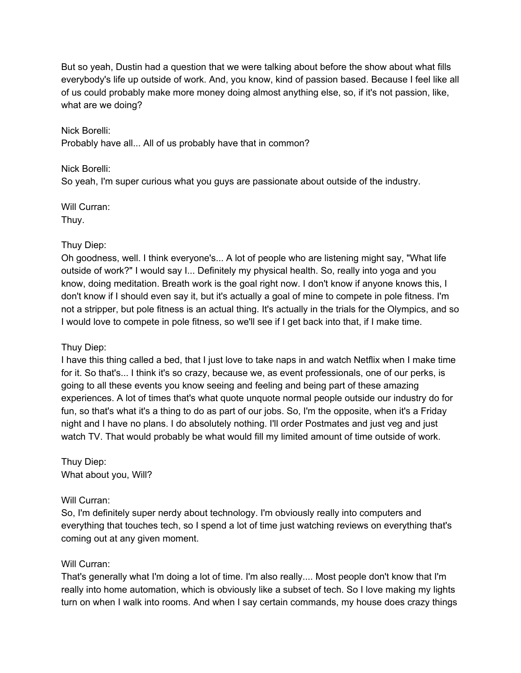But so yeah, Dustin had a question that we were talking about before the show about what fills everybody's life up outside of work. And, you know, kind of passion based. Because I feel like all of us could probably make more money doing almost anything else, so, if it's not passion, like, what are we doing?

Nick Borelli: Probably have all... All of us probably have that in common?

## Nick Borelli:

So yeah, I'm super curious what you guys are passionate about outside of the industry.

#### Will Curran: Thuy.

# Thuy Diep:

Oh goodness, well. I think everyone's... A lot of people who are listening might say, "What life outside of work?" I would say I... Definitely my physical health. So, really into yoga and you know, doing meditation. Breath work is the goal right now. I don't know if anyone knows this, I don't know if I should even say it, but it's actually a goal of mine to compete in pole fitness. I'm not a stripper, but pole fitness is an actual thing. It's actually in the trials for the Olympics, and so I would love to compete in pole fitness, so we'll see if I get back into that, if I make time.

# Thuy Diep:

I have this thing called a bed, that I just love to take naps in and watch Netflix when I make time for it. So that's... I think it's so crazy, because we, as event professionals, one of our perks, is going to all these events you know seeing and feeling and being part of these amazing experiences. A lot of times that's what quote unquote normal people outside our industry do for fun, so that's what it's a thing to do as part of our jobs. So, I'm the opposite, when it's a Friday night and I have no plans. I do absolutely nothing. I'll order Postmates and just veg and just watch TV. That would probably be what would fill my limited amount of time outside of work.

Thuy Diep: What about you, Will?

## Will Curran:

So, I'm definitely super nerdy about technology. I'm obviously really into computers and everything that touches tech, so I spend a lot of time just watching reviews on everything that's coming out at any given moment.

## Will Curran:

That's generally what I'm doing a lot of time. I'm also really.... Most people don't know that I'm really into home automation, which is obviously like a subset of tech. So I love making my lights turn on when I walk into rooms. And when I say certain commands, my house does crazy things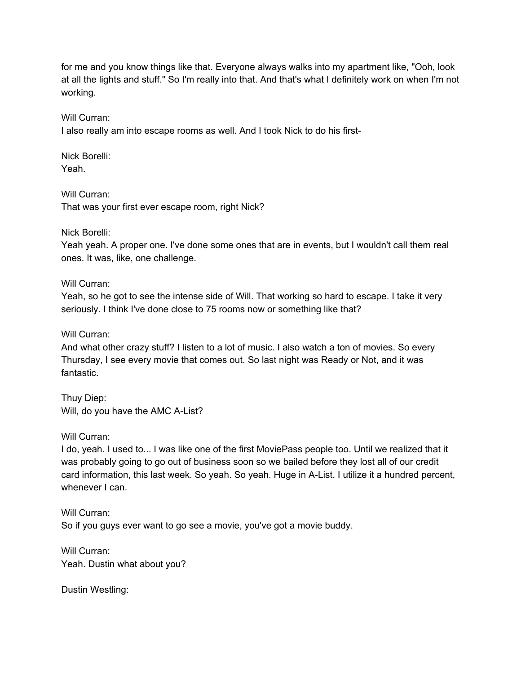for me and you know things like that. Everyone always walks into my apartment like, "Ooh, look at all the lights and stuff." So I'm really into that. And that's what I definitely work on when I'm not working.

Will Curran:

I also really am into escape rooms as well. And I took Nick to do his first-

Nick Borelli: Yeah.

Will Curran: That was your first ever escape room, right Nick?

Nick Borelli:

Yeah yeah. A proper one. I've done some ones that are in events, but I wouldn't call them real ones. It was, like, one challenge.

Will Curran:

Yeah, so he got to see the intense side of Will. That working so hard to escape. I take it very seriously. I think I've done close to 75 rooms now or something like that?

Will Curran:

And what other crazy stuff? I listen to a lot of music. I also watch a ton of movies. So every Thursday, I see every movie that comes out. So last night was Ready or Not, and it was fantastic.

Thuy Diep: Will, do you have the AMC A-List?

Will Curran:

I do, yeah. I used to... I was like one of the first MoviePass people too. Until we realized that it was probably going to go out of business soon so we bailed before they lost all of our credit card information, this last week. So yeah. So yeah. Huge in A-List. I utilize it a hundred percent, whenever I can.

Will Curran: So if you guys ever want to go see a movie, you've got a movie buddy.

Will Curran: Yeah. Dustin what about you?

Dustin Westling: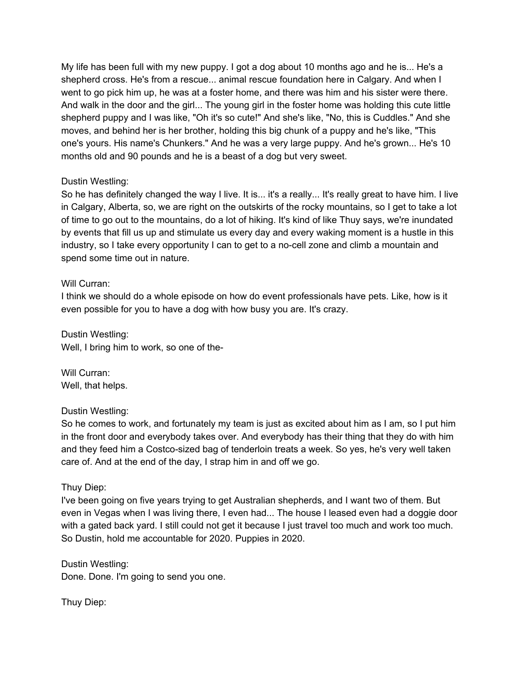My life has been full with my new puppy. I got a dog about 10 months ago and he is... He's a shepherd cross. He's from a rescue... animal rescue foundation here in Calgary. And when I went to go pick him up, he was at a foster home, and there was him and his sister were there. And walk in the door and the girl... The young girl in the foster home was holding this cute little shepherd puppy and I was like, "Oh it's so cute!" And she's like, "No, this is Cuddles." And she moves, and behind her is her brother, holding this big chunk of a puppy and he's like, "This one's yours. His name's Chunkers." And he was a very large puppy. And he's grown... He's 10 months old and 90 pounds and he is a beast of a dog but very sweet.

## Dustin Westling:

So he has definitely changed the way I live. It is... it's a really... It's really great to have him. I live in Calgary, Alberta, so, we are right on the outskirts of the rocky mountains, so I get to take a lot of time to go out to the mountains, do a lot of hiking. It's kind of like Thuy says, we're inundated by events that fill us up and stimulate us every day and every waking moment is a hustle in this industry, so I take every opportunity I can to get to a no-cell zone and climb a mountain and spend some time out in nature.

## Will Curran:

I think we should do a whole episode on how do event professionals have pets. Like, how is it even possible for you to have a dog with how busy you are. It's crazy.

Dustin Westling: Well, I bring him to work, so one of the-

Will Curran: Well, that helps.

## Dustin Westling:

So he comes to work, and fortunately my team is just as excited about him as I am, so I put him in the front door and everybody takes over. And everybody has their thing that they do with him and they feed him a Costco-sized bag of tenderloin treats a week. So yes, he's very well taken care of. And at the end of the day, I strap him in and off we go.

## Thuy Diep:

I've been going on five years trying to get Australian shepherds, and I want two of them. But even in Vegas when I was living there, I even had... The house I leased even had a doggie door with a gated back yard. I still could not get it because I just travel too much and work too much. So Dustin, hold me accountable for 2020. Puppies in 2020.

Dustin Westling: Done. Done. I'm going to send you one.

Thuy Diep: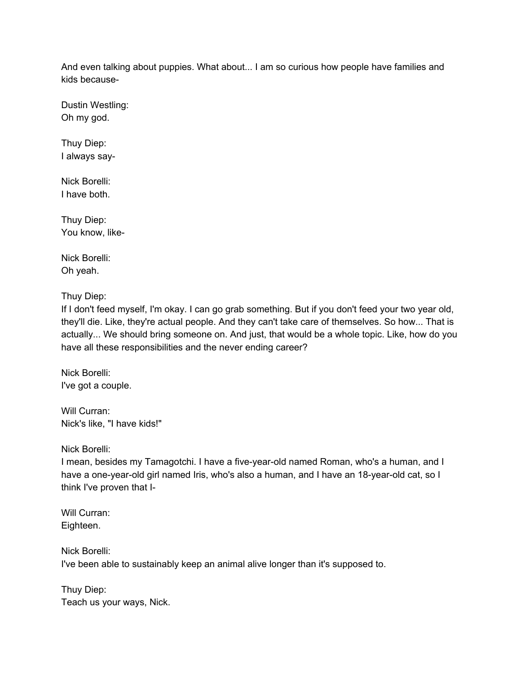And even talking about puppies. What about... I am so curious how people have families and kids because-

Dustin Westling: Oh my god.

Thuy Diep: I always say-

Nick Borelli: I have both.

Thuy Diep: You know, like-

Nick Borelli: Oh yeah.

Thuy Diep:

If I don't feed myself, I'm okay. I can go grab something. But if you don't feed your two year old, they'll die. Like, they're actual people. And they can't take care of themselves. So how... That is actually... We should bring someone on. And just, that would be a whole topic. Like, how do you have all these responsibilities and the never ending career?

Nick Borelli: I've got a couple.

Will Curran: Nick's like, "I have kids!"

Nick Borelli:

I mean, besides my Tamagotchi. I have a five-year-old named Roman, who's a human, and I have a one-year-old girl named Iris, who's also a human, and I have an 18-year-old cat, so I think I've proven that I-

Will Curran: Eighteen.

Nick Borelli: I've been able to sustainably keep an animal alive longer than it's supposed to.

Thuy Diep: Teach us your ways, Nick.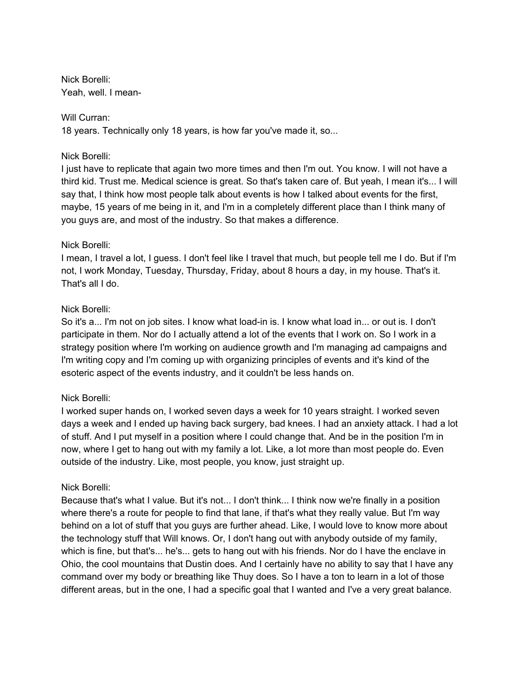Nick Borelli: Yeah, well. I mean-

### Will Curran:

18 years. Technically only 18 years, is how far you've made it, so...

## Nick Borelli:

I just have to replicate that again two more times and then I'm out. You know. I will not have a third kid. Trust me. Medical science is great. So that's taken care of. But yeah, I mean it's... I will say that, I think how most people talk about events is how I talked about events for the first, maybe, 15 years of me being in it, and I'm in a completely different place than I think many of you guys are, and most of the industry. So that makes a difference.

## Nick Borelli:

I mean, I travel a lot, I guess. I don't feel like I travel that much, but people tell me I do. But if I'm not, I work Monday, Tuesday, Thursday, Friday, about 8 hours a day, in my house. That's it. That's all I do.

## Nick Borelli:

So it's a... I'm not on job sites. I know what load-in is. I know what load in... or out is. I don't participate in them. Nor do I actually attend a lot of the events that I work on. So I work in a strategy position where I'm working on audience growth and I'm managing ad campaigns and I'm writing copy and I'm coming up with organizing principles of events and it's kind of the esoteric aspect of the events industry, and it couldn't be less hands on.

## Nick Borelli:

I worked super hands on, I worked seven days a week for 10 years straight. I worked seven days a week and I ended up having back surgery, bad knees. I had an anxiety attack. I had a lot of stuff. And I put myself in a position where I could change that. And be in the position I'm in now, where I get to hang out with my family a lot. Like, a lot more than most people do. Even outside of the industry. Like, most people, you know, just straight up.

#### Nick Borelli:

Because that's what I value. But it's not... I don't think... I think now we're finally in a position where there's a route for people to find that lane, if that's what they really value. But I'm way behind on a lot of stuff that you guys are further ahead. Like, I would love to know more about the technology stuff that Will knows. Or, I don't hang out with anybody outside of my family, which is fine, but that's... he's... gets to hang out with his friends. Nor do I have the enclave in Ohio, the cool mountains that Dustin does. And I certainly have no ability to say that I have any command over my body or breathing like Thuy does. So I have a ton to learn in a lot of those different areas, but in the one, I had a specific goal that I wanted and I've a very great balance.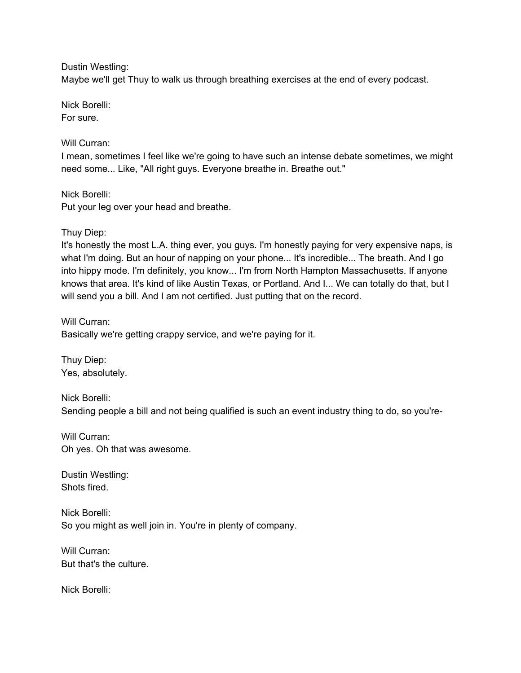Dustin Westling:

Maybe we'll get Thuy to walk us through breathing exercises at the end of every podcast.

Nick Borelli:

For sure.

## Will Curran:

I mean, sometimes I feel like we're going to have such an intense debate sometimes, we might need some... Like, "All right guys. Everyone breathe in. Breathe out."

Nick Borelli: Put your leg over your head and breathe.

## Thuy Diep:

It's honestly the most L.A. thing ever, you guys. I'm honestly paying for very expensive naps, is what I'm doing. But an hour of napping on your phone... It's incredible... The breath. And I go into hippy mode. I'm definitely, you know... I'm from North Hampton Massachusetts. If anyone knows that area. It's kind of like Austin Texas, or Portland. And I... We can totally do that, but I will send you a bill. And I am not certified. Just putting that on the record.

Will Curran: Basically we're getting crappy service, and we're paying for it.

Thuy Diep: Yes, absolutely.

Nick Borelli: Sending people a bill and not being qualified is such an event industry thing to do, so you're-

Will Curran: Oh yes. Oh that was awesome.

Dustin Westling: Shots fired.

Nick Borelli: So you might as well join in. You're in plenty of company.

Will Curran: But that's the culture.

Nick Borelli: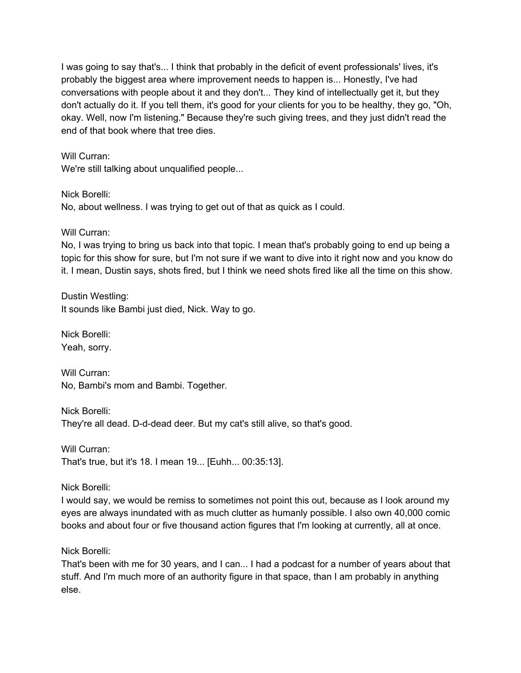I was going to say that's... I think that probably in the deficit of event professionals' lives, it's probably the biggest area where improvement needs to happen is... Honestly, I've had conversations with people about it and they don't... They kind of intellectually get it, but they don't actually do it. If you tell them, it's good for your clients for you to be healthy, they go, "Oh, okay. Well, now I'm listening." Because they're such giving trees, and they just didn't read the end of that book where that tree dies.

## Will Curran:

We're still talking about unqualified people...

Nick Borelli: No, about wellness. I was trying to get out of that as quick as I could.

Will Curran:

No, I was trying to bring us back into that topic. I mean that's probably going to end up being a topic for this show for sure, but I'm not sure if we want to dive into it right now and you know do it. I mean, Dustin says, shots fired, but I think we need shots fired like all the time on this show.

Dustin Westling: It sounds like Bambi just died, Nick. Way to go.

Nick Borelli: Yeah, sorry.

Will Curran: No, Bambi's mom and Bambi. Together.

Nick Borelli: They're all dead. D-d-dead deer. But my cat's still alive, so that's good.

Will Curran: That's true, but it's 18. I mean 19... [Euhh... 00:35:13].

Nick Borelli:

I would say, we would be remiss to sometimes not point this out, because as I look around my eyes are always inundated with as much clutter as humanly possible. I also own 40,000 comic books and about four or five thousand action figures that I'm looking at currently, all at once.

Nick Borelli:

That's been with me for 30 years, and I can... I had a podcast for a number of years about that stuff. And I'm much more of an authority figure in that space, than I am probably in anything else.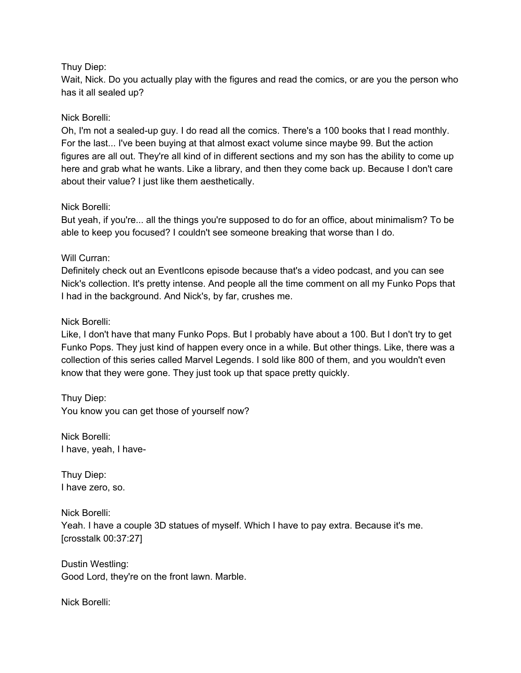## Thuy Diep:

Wait, Nick. Do you actually play with the figures and read the comics, or are you the person who has it all sealed up?

## Nick Borelli:

Oh, I'm not a sealed-up guy. I do read all the comics. There's a 100 books that I read monthly. For the last... I've been buying at that almost exact volume since maybe 99. But the action figures are all out. They're all kind of in different sections and my son has the ability to come up here and grab what he wants. Like a library, and then they come back up. Because I don't care about their value? I just like them aesthetically.

## Nick Borelli:

But yeah, if you're... all the things you're supposed to do for an office, about minimalism? To be able to keep you focused? I couldn't see someone breaking that worse than I do.

## Will Curran:

Definitely check out an EventIcons episode because that's a video podcast, and you can see Nick's collection. It's pretty intense. And people all the time comment on all my Funko Pops that I had in the background. And Nick's, by far, crushes me.

## Nick Borelli:

Like, I don't have that many Funko Pops. But I probably have about a 100. But I don't try to get Funko Pops. They just kind of happen every once in a while. But other things. Like, there was a collection of this series called Marvel Legends. I sold like 800 of them, and you wouldn't even know that they were gone. They just took up that space pretty quickly.

Thuy Diep: You know you can get those of yourself now?

Nick Borelli: I have, yeah, I have-

Thuy Diep: I have zero, so.

Nick Borelli: Yeah. I have a couple 3D statues of myself. Which I have to pay extra. Because it's me. [crosstalk 00:37:27]

Dustin Westling: Good Lord, they're on the front lawn. Marble.

Nick Borelli: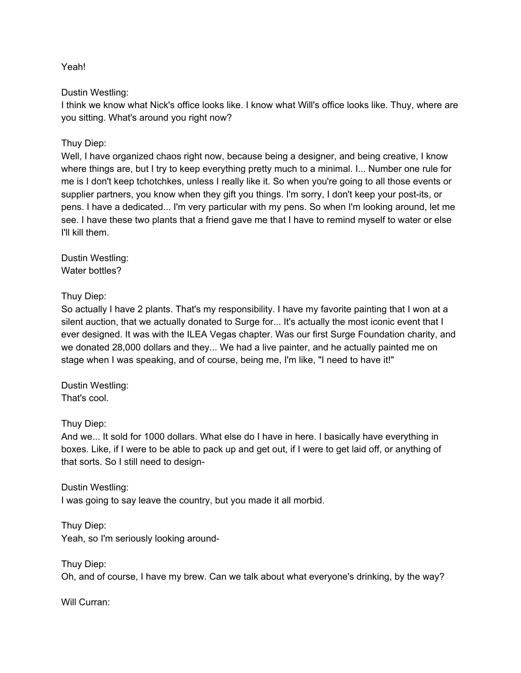Yeah!

Dustin Westling:

I think we know what Nick's office looks like. I know what Will's office looks like. Thuy, where are you sitting. What's around you right now?

Thuy Diep:

Well, I have organized chaos right now, because being a designer, and being creative, I know where things are, but I try to keep everything pretty much to a minimal. I... Number one rule for me is I don't keep tchotchkes, unless I really like it. So when you're going to all those events or supplier partners, you know when they gift you things. I'm sorry, I don't keep your post-its, or pens. I have a dedicated... I'm very particular with my pens. So when I'm looking around, let me see. I have these two plants that a friend gave me that I have to remind myself to water or else I'll kill them.

Dustin Westling: Water bottles?

Thuy Diep:

So actually I have 2 plants. That's my responsibility. I have my favorite painting that I won at a silent auction, that we actually donated to Surge for... It's actually the most iconic event that I ever designed. It was with the ILEA Vegas chapter. Was our first Surge Foundation charity, and we donated 28,000 dollars and they... We had a live painter, and he actually painted me on stage when I was speaking, and of course, being me, I'm like, "I need to have it!"

Dustin Westling: That's cool.

Thuy Diep:

And we... It sold for 1000 dollars. What else do I have in here. I basically have everything in boxes. Like, if I were to be able to pack up and get out, if I were to get laid off, or anything of that sorts. So I still need to design-

Dustin Westling: I was going to say leave the country, but you made it all morbid.

Thuy Diep: Yeah, so I'm seriously looking around-

Thuy Diep: Oh, and of course, I have my brew. Can we talk about what everyone's drinking, by the way?

Will Curran: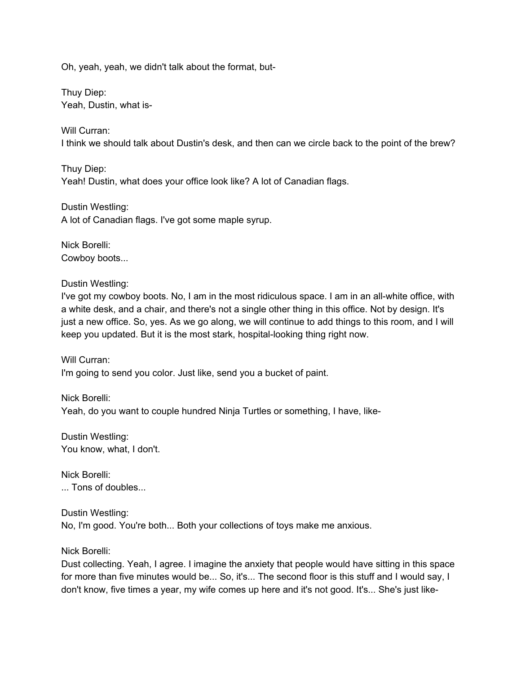Oh, yeah, yeah, we didn't talk about the format, but-

Thuy Diep: Yeah, Dustin, what is-

Will Curran: I think we should talk about Dustin's desk, and then can we circle back to the point of the brew?

Thuy Diep: Yeah! Dustin, what does your office look like? A lot of Canadian flags.

Dustin Westling: A lot of Canadian flags. I've got some maple syrup.

Nick Borelli: Cowboy boots...

Dustin Westling:

I've got my cowboy boots. No, I am in the most ridiculous space. I am in an all-white office, with a white desk, and a chair, and there's not a single other thing in this office. Not by design. It's just a new office. So, yes. As we go along, we will continue to add things to this room, and I will keep you updated. But it is the most stark, hospital-looking thing right now.

Will Curran: I'm going to send you color. Just like, send you a bucket of paint.

Nick Borelli: Yeah, do you want to couple hundred Ninja Turtles or something, I have, like-

Dustin Westling: You know, what, I don't.

Nick Borelli: ... Tons of doubles...

Dustin Westling: No, I'm good. You're both... Both your collections of toys make me anxious.

Nick Borelli:

Dust collecting. Yeah, I agree. I imagine the anxiety that people would have sitting in this space for more than five minutes would be... So, it's... The second floor is this stuff and I would say, I don't know, five times a year, my wife comes up here and it's not good. It's... She's just like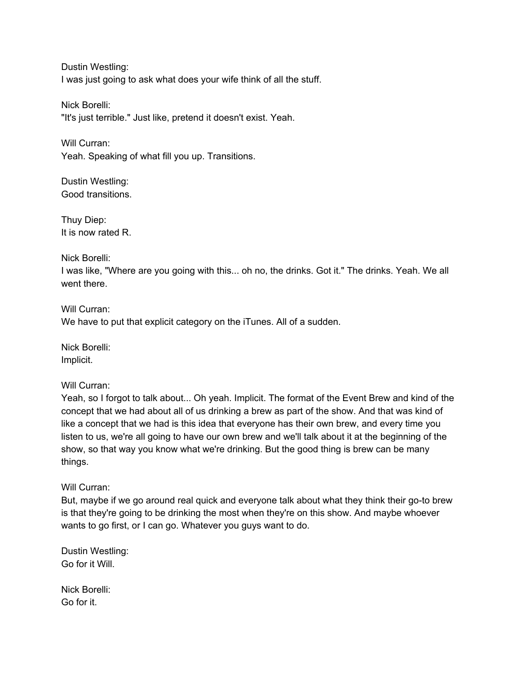Dustin Westling: I was just going to ask what does your wife think of all the stuff.

Nick Borelli: "It's just terrible." Just like, pretend it doesn't exist. Yeah.

Will Curran: Yeah. Speaking of what fill you up. Transitions.

Dustin Westling: Good transitions.

Thuy Diep: It is now rated R.

## Nick Borelli:

I was like, "Where are you going with this... oh no, the drinks. Got it." The drinks. Yeah. We all went there.

Will Curran: We have to put that explicit category on the iTunes. All of a sudden.

Nick Borelli: Implicit.

## Will Curran:

Yeah, so I forgot to talk about... Oh yeah. Implicit. The format of the Event Brew and kind of the concept that we had about all of us drinking a brew as part of the show. And that was kind of like a concept that we had is this idea that everyone has their own brew, and every time you listen to us, we're all going to have our own brew and we'll talk about it at the beginning of the show, so that way you know what we're drinking. But the good thing is brew can be many things.

## Will Curran:

But, maybe if we go around real quick and everyone talk about what they think their go-to brew is that they're going to be drinking the most when they're on this show. And maybe whoever wants to go first, or I can go. Whatever you guys want to do.

Dustin Westling: Go for it Will.

Nick Borelli: Go for it.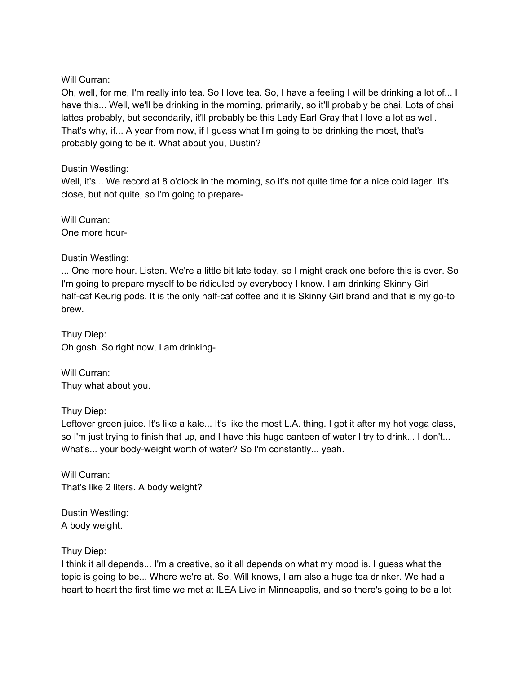### Will Curran:

Oh, well, for me, I'm really into tea. So I love tea. So, I have a feeling I will be drinking a lot of... I have this... Well, we'll be drinking in the morning, primarily, so it'll probably be chai. Lots of chai lattes probably, but secondarily, it'll probably be this Lady Earl Gray that I love a lot as well. That's why, if... A year from now, if I guess what I'm going to be drinking the most, that's probably going to be it. What about you, Dustin?

## Dustin Westling:

Well, it's... We record at 8 o'clock in the morning, so it's not quite time for a nice cold lager. It's close, but not quite, so I'm going to prepare-

Will Curran: One more hour-

Dustin Westling:

... One more hour. Listen. We're a little bit late today, so I might crack one before this is over. So I'm going to prepare myself to be ridiculed by everybody I know. I am drinking Skinny Girl half-caf Keurig pods. It is the only half-caf coffee and it is Skinny Girl brand and that is my go-to brew.

Thuy Diep: Oh gosh. So right now, I am drinking-

Will Curran: Thuy what about you.

Thuy Diep:

Leftover green juice. It's like a kale... It's like the most L.A. thing. I got it after my hot yoga class, so I'm just trying to finish that up, and I have this huge canteen of water I try to drink... I don't... What's... your body-weight worth of water? So I'm constantly... yeah.

Will Curran: That's like 2 liters. A body weight?

Dustin Westling: A body weight.

Thuy Diep:

I think it all depends... I'm a creative, so it all depends on what my mood is. I guess what the topic is going to be... Where we're at. So, Will knows, I am also a huge tea drinker. We had a heart to heart the first time we met at ILEA Live in Minneapolis, and so there's going to be a lot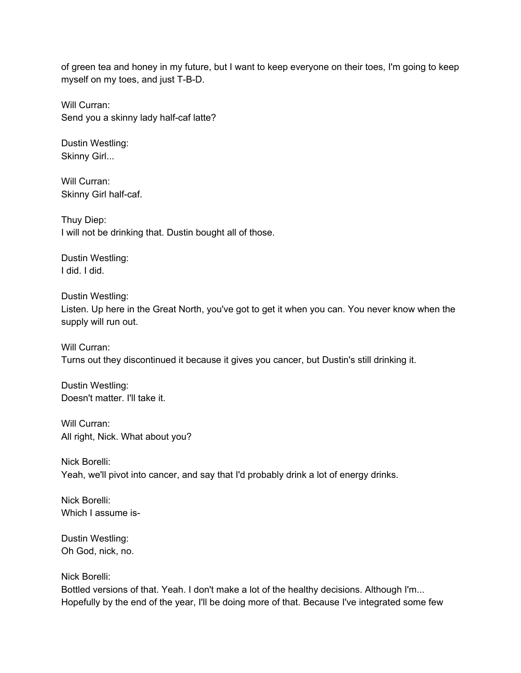of green tea and honey in my future, but I want to keep everyone on their toes, I'm going to keep myself on my toes, and just T-B-D.

Will Curran: Send you a skinny lady half-caf latte?

Dustin Westling: Skinny Girl...

Will Curran: Skinny Girl half-caf.

Thuy Diep: I will not be drinking that. Dustin bought all of those.

Dustin Westling: I did. I did.

Dustin Westling: Listen. Up here in the Great North, you've got to get it when you can. You never know when the supply will run out.

Will Curran: Turns out they discontinued it because it gives you cancer, but Dustin's still drinking it.

Dustin Westling: Doesn't matter. I'll take it.

Will Curran: All right, Nick. What about you?

Nick Borelli: Yeah, we'll pivot into cancer, and say that I'd probably drink a lot of energy drinks.

Nick Borelli: Which I assume is-

Dustin Westling: Oh God, nick, no.

Nick Borelli:

Bottled versions of that. Yeah. I don't make a lot of the healthy decisions. Although I'm... Hopefully by the end of the year, I'll be doing more of that. Because I've integrated some few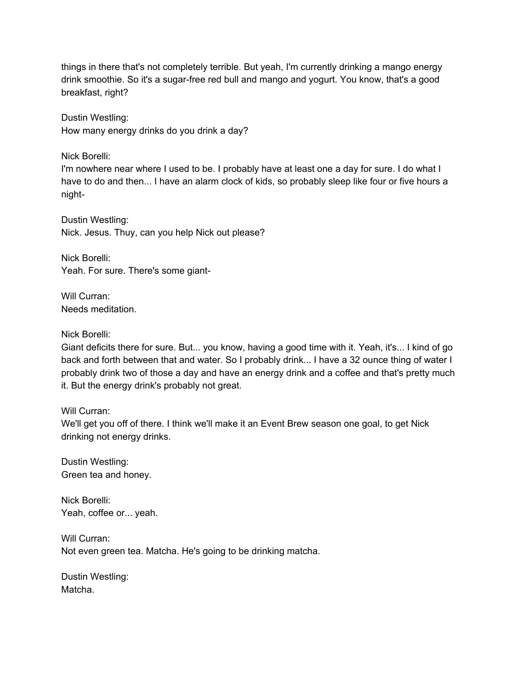things in there that's not completely terrible. But yeah, I'm currently drinking a mango energy drink smoothie. So it's a sugar-free red bull and mango and yogurt. You know, that's a good breakfast, right?

Dustin Westling: How many energy drinks do you drink a day?

Nick Borelli:

I'm nowhere near where I used to be. I probably have at least one a day for sure. I do what I have to do and then... I have an alarm clock of kids, so probably sleep like four or five hours a night-

Dustin Westling: Nick. Jesus. Thuy, can you help Nick out please?

Nick Borelli: Yeah. For sure. There's some giant-

Will Curran: Needs meditation.

#### Nick Borelli:

Giant deficits there for sure. But... you know, having a good time with it. Yeah, it's... I kind of go back and forth between that and water. So I probably drink... I have a 32 ounce thing of water I probably drink two of those a day and have an energy drink and a coffee and that's pretty much it. But the energy drink's probably not great.

#### Will Curran:

We'll get you off of there. I think we'll make it an Event Brew season one goal, to get Nick drinking not energy drinks.

Dustin Westling: Green tea and honey.

Nick Borelli: Yeah, coffee or... yeah.

Will Curran: Not even green tea. Matcha. He's going to be drinking matcha.

Dustin Westling: Matcha.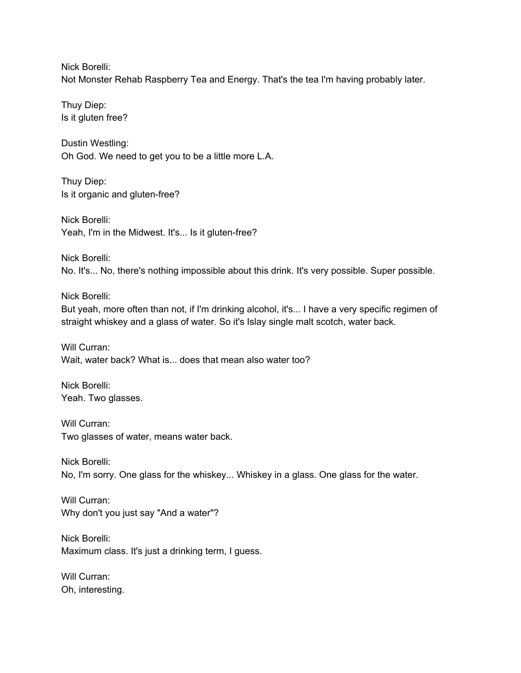Nick Borelli: Not Monster Rehab Raspberry Tea and Energy. That's the tea I'm having probably later.

Thuy Diep: Is it gluten free?

Dustin Westling: Oh God. We need to get you to be a little more L.A.

Thuy Diep: Is it organic and gluten-free?

Nick Borelli: Yeah, I'm in the Midwest. It's... Is it gluten-free?

Nick Borelli: No. It's... No, there's nothing impossible about this drink. It's very possible. Super possible.

Nick Borelli:

But yeah, more often than not, if I'm drinking alcohol, it's... I have a very specific regimen of straight whiskey and a glass of water. So it's Islay single malt scotch, water back.

Will Curran: Wait, water back? What is... does that mean also water too?

Nick Borelli: Yeah. Two glasses.

Will Curran: Two glasses of water, means water back.

Nick Borelli: No, I'm sorry. One glass for the whiskey... Whiskey in a glass. One glass for the water.

Will Curran: Why don't you just say "And a water"?

Nick Borelli: Maximum class. It's just a drinking term, I guess.

Will Curran: Oh, interesting.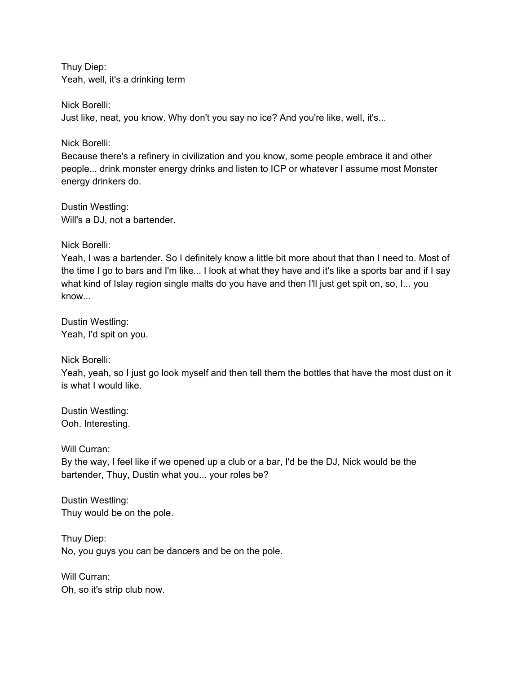Thuy Diep: Yeah, well, it's a drinking term

Nick Borelli: Just like, neat, you know. Why don't you say no ice? And you're like, well, it's...

Nick Borelli:

Because there's a refinery in civilization and you know, some people embrace it and other people... drink monster energy drinks and listen to ICP or whatever I assume most Monster energy drinkers do.

Dustin Westling: Will's a DJ, not a bartender.

Nick Borelli:

Yeah, I was a bartender. So I definitely know a little bit more about that than I need to. Most of the time I go to bars and I'm like... I look at what they have and it's like a sports bar and if I say what kind of Islay region single malts do you have and then I'll just get spit on, so, I... you know...

Dustin Westling: Yeah, I'd spit on you.

Nick Borelli:

Yeah, yeah, so I just go look myself and then tell them the bottles that have the most dust on it is what I would like.

Dustin Westling: Ooh. Interesting.

Will Curran:

By the way, I feel like if we opened up a club or a bar, I'd be the DJ, Nick would be the bartender, Thuy, Dustin what you... your roles be?

Dustin Westling: Thuy would be on the pole.

Thuy Diep: No, you guys you can be dancers and be on the pole.

Will Curran: Oh, so it's strip club now.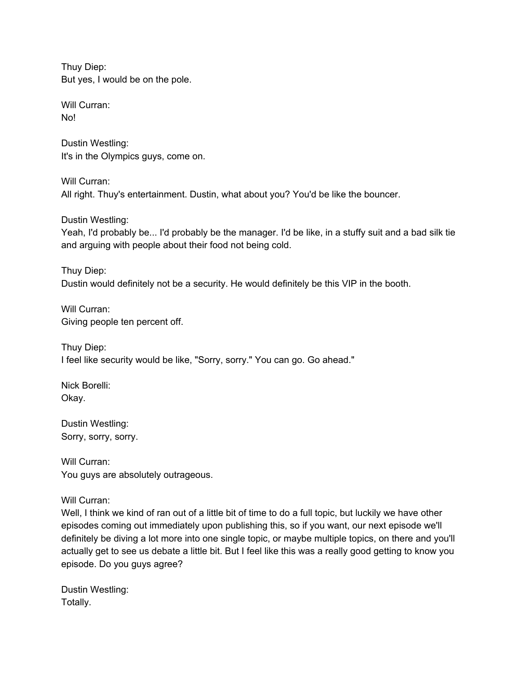Thuy Diep: But yes, I would be on the pole.

Will Curran: No!

Dustin Westling: It's in the Olympics guys, come on.

Will Curran: All right. Thuy's entertainment. Dustin, what about you? You'd be like the bouncer.

Dustin Westling:

Yeah, I'd probably be... I'd probably be the manager. I'd be like, in a stuffy suit and a bad silk tie and arguing with people about their food not being cold.

Thuy Diep: Dustin would definitely not be a security. He would definitely be this VIP in the booth.

Will Curran: Giving people ten percent off.

Thuy Diep: I feel like security would be like, "Sorry, sorry." You can go. Go ahead."

Nick Borelli: Okay.

Dustin Westling: Sorry, sorry, sorry.

Will Curran: You guys are absolutely outrageous.

Will Curran:

Well, I think we kind of ran out of a little bit of time to do a full topic, but luckily we have other episodes coming out immediately upon publishing this, so if you want, our next episode we'll definitely be diving a lot more into one single topic, or maybe multiple topics, on there and you'll actually get to see us debate a little bit. But I feel like this was a really good getting to know you episode. Do you guys agree?

Dustin Westling: Totally.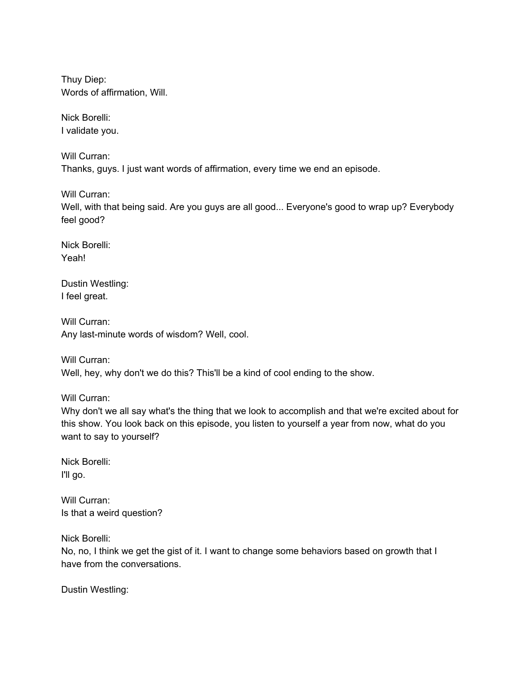Thuy Diep: Words of affirmation, Will.

Nick Borelli: I validate you.

Will Curran: Thanks, guys. I just want words of affirmation, every time we end an episode.

Will Curran: Well, with that being said. Are you guys are all good... Everyone's good to wrap up? Everybody feel good?

Nick Borelli: Yeah!

Dustin Westling: I feel great.

Will Curran: Any last-minute words of wisdom? Well, cool.

Will Curran: Well, hey, why don't we do this? This'll be a kind of cool ending to the show.

Will Curran:

Why don't we all say what's the thing that we look to accomplish and that we're excited about for this show. You look back on this episode, you listen to yourself a year from now, what do you want to say to yourself?

Nick Borelli: I'll go.

Will Curran: Is that a weird question?

Nick Borelli:

No, no, I think we get the gist of it. I want to change some behaviors based on growth that I have from the conversations.

Dustin Westling: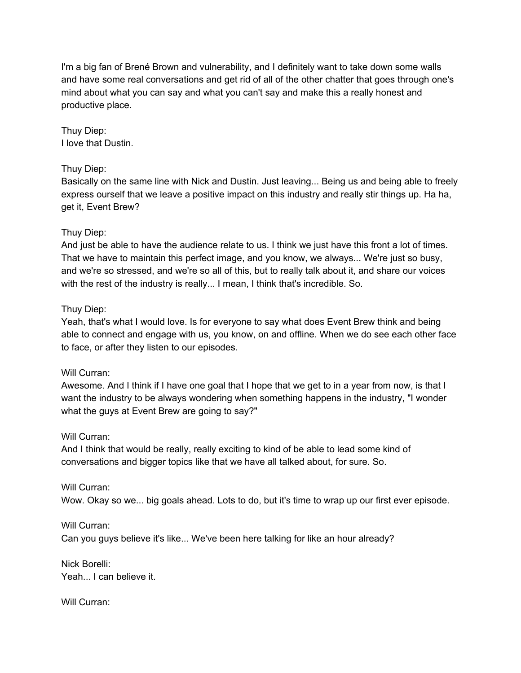I'm a big fan of Brené Brown and vulnerability, and I definitely want to take down some walls and have some real conversations and get rid of all of the other chatter that goes through one's mind about what you can say and what you can't say and make this a really honest and productive place.

Thuy Diep: I love that Dustin.

## Thuy Diep:

Basically on the same line with Nick and Dustin. Just leaving... Being us and being able to freely express ourself that we leave a positive impact on this industry and really stir things up. Ha ha, get it, Event Brew?

## Thuy Diep:

And just be able to have the audience relate to us. I think we just have this front a lot of times. That we have to maintain this perfect image, and you know, we always... We're just so busy, and we're so stressed, and we're so all of this, but to really talk about it, and share our voices with the rest of the industry is really... I mean, I think that's incredible. So.

## Thuy Diep:

Yeah, that's what I would love. Is for everyone to say what does Event Brew think and being able to connect and engage with us, you know, on and offline. When we do see each other face to face, or after they listen to our episodes.

#### Will Curran:

Awesome. And I think if I have one goal that I hope that we get to in a year from now, is that I want the industry to be always wondering when something happens in the industry, "I wonder what the guys at Event Brew are going to say?"

#### Will Curran:

And I think that would be really, really exciting to kind of be able to lead some kind of conversations and bigger topics like that we have all talked about, for sure. So.

#### Will Curran:

Wow. Okay so we... big goals ahead. Lots to do, but it's time to wrap up our first ever episode.

## Will Curran: Can you guys believe it's like... We've been here talking for like an hour already?

Nick Borelli: Yeah... I can believe it.

#### Will Curran: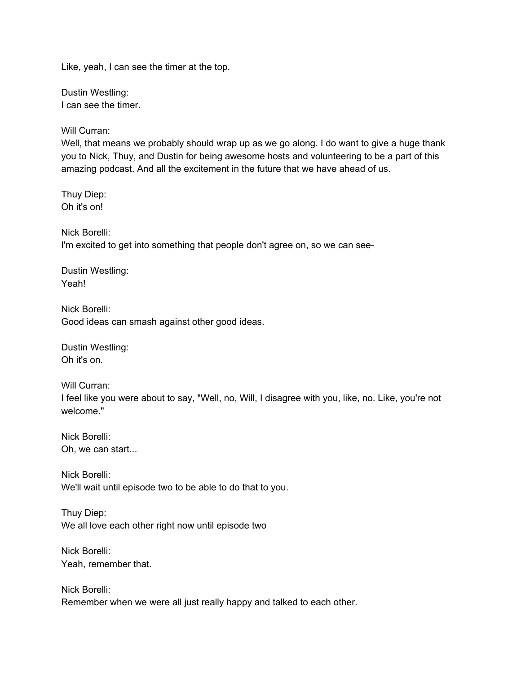Like, yeah, I can see the timer at the top.

Dustin Westling: I can see the timer.

Will Curran:

Well, that means we probably should wrap up as we go along. I do want to give a huge thank you to Nick, Thuy, and Dustin for being awesome hosts and volunteering to be a part of this amazing podcast. And all the excitement in the future that we have ahead of us.

Thuy Diep: Oh it's on!

Nick Borelli: I'm excited to get into something that people don't agree on, so we can see-

Dustin Westling: Yeah!

Nick Borelli: Good ideas can smash against other good ideas.

Dustin Westling: Oh it's on.

Will Curran: I feel like you were about to say, "Well, no, Will, I disagree with you, like, no. Like, you're not welcome."

Nick Borelli: Oh, we can start...

Nick Borelli: We'll wait until episode two to be able to do that to you.

Thuy Diep: We all love each other right now until episode two

Nick Borelli: Yeah, remember that.

Nick Borelli: Remember when we were all just really happy and talked to each other.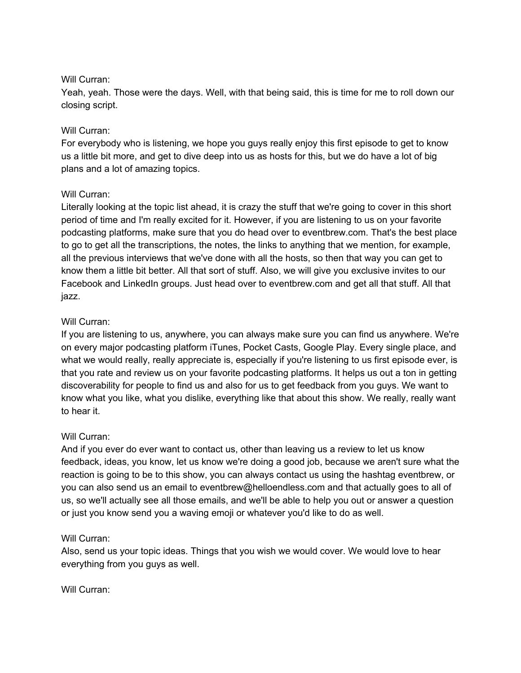### Will Curran:

Yeah, yeah. Those were the days. Well, with that being said, this is time for me to roll down our closing script.

## Will Curran:

For everybody who is listening, we hope you guys really enjoy this first episode to get to know us a little bit more, and get to dive deep into us as hosts for this, but we do have a lot of big plans and a lot of amazing topics.

## Will Curran:

Literally looking at the topic list ahead, it is crazy the stuff that we're going to cover in this short period of time and I'm really excited for it. However, if you are listening to us on your favorite podcasting platforms, make sure that you do head over to eventbrew.com. That's the best place to go to get all the transcriptions, the notes, the links to anything that we mention, for example, all the previous interviews that we've done with all the hosts, so then that way you can get to know them a little bit better. All that sort of stuff. Also, we will give you exclusive invites to our Facebook and LinkedIn groups. Just head over to eventbrew.com and get all that stuff. All that jazz.

## Will Curran:

If you are listening to us, anywhere, you can always make sure you can find us anywhere. We're on every major podcasting platform iTunes, Pocket Casts, Google Play. Every single place, and what we would really, really appreciate is, especially if you're listening to us first episode ever, is that you rate and review us on your favorite podcasting platforms. It helps us out a ton in getting discoverability for people to find us and also for us to get feedback from you guys. We want to know what you like, what you dislike, everything like that about this show. We really, really want to hear it.

#### Will Curran:

And if you ever do ever want to contact us, other than leaving us a review to let us know feedback, ideas, you know, let us know we're doing a good job, because we aren't sure what the reaction is going to be to this show, you can always contact us using the hashtag eventbrew, or you can also send us an email to eventbrew@helloendless.com and that actually goes to all of us, so we'll actually see all those emails, and we'll be able to help you out or answer a question or just you know send you a waving emoji or whatever you'd like to do as well.

#### Will Curran:

Also, send us your topic ideas. Things that you wish we would cover. We would love to hear everything from you guys as well.

#### Will Curran: